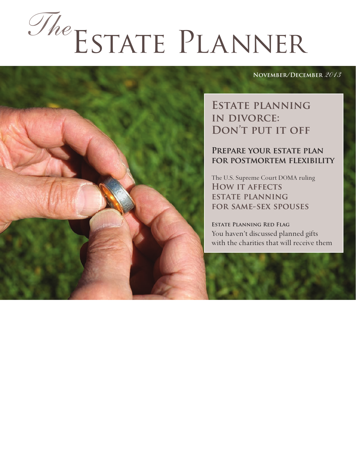# Estate Planner *The*

#### **November/December** *2013*

**Estate planning in divorce: Don't put it off**

#### **Prepare your estate plan for postmortem flexibility**

The U.S. Supreme Court DOMA ruling **How it affects estate planning for same-sex spouses**

**Estate Planning Red Flag** You haven't discussed planned gifts with the charities that will receive them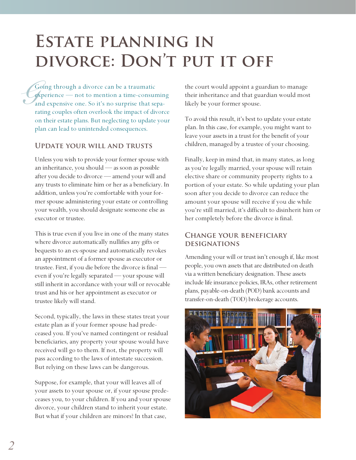# **Estate planning in divorce: Don't put it off**

 $\mathcal{G}$ Going through a divorce can be a traumatic experience — not to mention a time-consuming and expensive one. So it's no surprise that separating couples often overlook the impact of divorce on their estate plans. But neglecting to update your plan can lead to unintended consequences.

#### **Update your will and trusts**

Unless you wish to provide your former spouse with an inheritance, you should — as soon as possible after you decide to divorce — amend your will and any trusts to eliminate him or her as a beneficiary. In addition, unless you're comfortable with your former spouse administering your estate or controlling your wealth, you should designate someone else as executor or trustee.

This is true even if you live in one of the many states where divorce automatically nullifies any gifts or bequests to an ex-spouse and automatically revokes an appointment of a former spouse as executor or trustee. First, if you die before the divorce is final even if you're legally separated — your spouse will still inherit in accordance with your will or revocable trust and his or her appointment as executor or trustee likely will stand.

Second, typically, the laws in these states treat your estate plan as if your former spouse had predeceased you. If you've named contingent or residual beneficiaries, any property your spouse would have received will go to them. If not, the property will pass according to the laws of intestate succession. But relying on these laws can be dangerous.

Suppose, for example, that your will leaves all of your assets to your spouse or, if your spouse predeceases you, to your children. If you and your spouse divorce, your children stand to inherit your estate. But what if your children are minors? In that case,

the court would appoint a guardian to manage their inheritance and that guardian would most likely be your former spouse.

To avoid this result, it's best to update your estate plan. In this case, for example, you might want to leave your assets in a trust for the benefit of your children, managed by a trustee of your choosing.

Finally, keep in mind that, in many states, as long as you're legally married, your spouse will retain elective share or community property rights to a portion of your estate. So while updating your plan soon after you decide to divorce can reduce the amount your spouse will receive if you die while you're still married, it's difficult to disinherit him or her completely before the divorce is final.

#### **Change your beneficiary designations**

Amending your will or trust isn't enough if, like most people, you own assets that are distributed on death via a written beneficiary designation. These assets include life insurance policies, IRAs, other retirement plans, payable-on-death (POD) bank accounts and transfer-on-death (TOD) brokerage accounts.

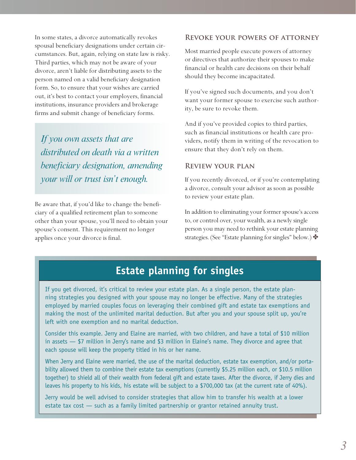In some states, a divorce automatically revokes spousal beneficiary designations under certain circumstances. But, again, relying on state law is risky. Third parties, which may not be aware of your divorce, aren't liable for distributing assets to the person named on a valid beneficiary designation form. So, to ensure that your wishes are carried out, it's best to contact your employers, financial institutions, insurance providers and brokerage firms and submit change of beneficiary forms.

*If you own assets that are distributed on death via a written beneficiary designation, amending your will or trust isn't enough.*

Be aware that, if you'd like to change the beneficiary of a qualified retirement plan to someone other than your spouse, you'll need to obtain your spouse's consent. This requirement no longer applies once your divorce is final.

#### **Revoke your powers of attorney**

Most married people execute powers of attorney or directives that authorize their spouses to make financial or health care decisions on their behalf should they become incapacitated.

If you've signed such documents, and you don't want your former spouse to exercise such authority, be sure to revoke them.

And if you've provided copies to third parties, such as financial institutions or health care providers, notify them in writing of the revocation to ensure that they don't rely on them.

#### **Review your plan**

If you recently divorced, or if you're contemplating a divorce, consult your advisor as soon as possible to review your estate plan.

In addition to eliminating your former spouse's access to, or control over, your wealth, as a newly single person you may need to rethink your estate planning strategies. (See "Estate planning for singles" below.)  $\bullet$ 

### **Estate planning for singles**

If you get divorced, it's critical to review your estate plan. As a single person, the estate planning strategies you designed with your spouse may no longer be effective. Many of the strategies employed by married couples focus on leveraging their combined gift and estate tax exemptions and making the most of the unlimited marital deduction. But after you and your spouse split up, you're left with one exemption and no marital deduction.

Consider this example. Jerry and Elaine are married, with two children, and have a total of \$10 million in assets — \$7 million in Jerry's name and \$3 million in Elaine's name. They divorce and agree that each spouse will keep the property titled in his or her name.

When Jerry and Elaine were married, the use of the marital deduction, estate tax exemption, and/or portability allowed them to combine their estate tax exemptions (currently \$5.25 million each, or \$10.5 million together) to shield all of their wealth from federal gift and estate taxes. After the divorce, if Jerry dies and leaves his property to his kids, his estate will be subject to a \$700,000 tax (at the current rate of 40%).

Jerry would be well advised to consider strategies that allow him to transfer his wealth at a lower estate tax cost — such as a family limited partnership or grantor retained annuity trust.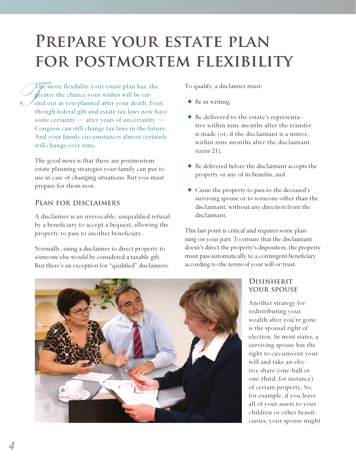## PREPARE YOUR ESTATE PLAN **for postmortem flexibility**

*S*<br>*P*<br>rie<br>th The more flexibility your estate plan has, the greater the chance your wishes will be carried out as you planned after your death. Even though federal gift and estate tax laws now have some certainty — after years of uncertainty — Congress can still change tax laws in the future. And your family circumstances almost certainly will change over time.

The good news is that there are postmortem estate planning strategies your family can put to use in case of changing situations. But you must prepare for them now.

#### **Plan for disclaimers**

A disclaimer is an irrevocable, unqualified refusal by a beneficiary to accept a bequest, allowing the property to pass to another beneficiary.

Normally, using a disclaimer to direct property to someone else would be considered a taxable gift. But there's an exception for "qualified" disclaimers. To qualify, a disclaimer must:

 $\blacklozenge$  Be in writing,

- ✦ Be delivered to the estate's representative within nine months after the transfer is made (or, if the disclaimant is a minor, within nine months after the disclaimant turns 21),
- ✦ Be delivered before the disclaimant accepts the property or any of its benefits, and
- ✦ Cause the property to pass to the deceased's surviving spouse or to someone other than the disclaimant, without any direction from the disclaimant.

This last point is critical and requires some planning on your part. To ensure that the disclaimant doesn't direct the property's disposition, the property must pass automatically to a contingent beneficiary according to the terms of your will or trust.



#### **Disinherit your spouse**

Another strategy for redistributing your wealth after you're gone is the spousal right of election. In most states, a surviving spouse has the right to circumvent your will and take an elective share (one-half or one-third, for instance) of certain property. So, for example, if you leave all of your assets to your children or other beneficiaries, your spouse might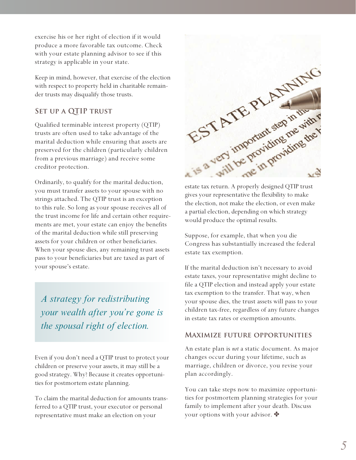exercise his or her right of election if it would produce a more favorable tax outcome. Check with your estate planning advisor to see if this strategy is applicable in your state.

Keep in mind, however, that exercise of the election with respect to property held in charitable remainder trusts may disqualify those trusts.

#### **SET UP A QTIP TRUST**

Qualified terminable interest property (QTIP) trusts are often used to take advantage of the marital deduction while ensuring that assets are preserved for the children (particularly children from a previous marriage) and receive some creditor protection.

Ordinarily, to qualify for the marital deduction, you must transfer assets to your spouse with no strings attached. The QTIP trust is an exception to this rule. So long as your spouse receives all of the trust income for life and certain other requirements are met, your estate can enjoy the benefits of the marital deduction while still preserving assets for your children or other beneficiaries. When your spouse dies, any remaining trust assets pass to your beneficiaries but are taxed as part of your spouse's estate.

*A strategy for redistributing your wealth after you're gone is the spousal right of election.*

Even if you don't need a QTIP trust to protect your children or preserve your assets, it may still be a good strategy. Why? Because it creates opportunities for postmortem estate planning.

To claim the marital deduction for amounts transferred to a QTIP trust, your executor or personal representative must make an election on your



estate tax return. A properly designed QTIP trust gives your representative the flexibility to make the election, not make the election, or even make a partial election, depending on which strategy would produce the optimal results.

Suppose, for example, that when you die Congress has substantially increased the federal estate tax exemption.

If the marital deduction isn't necessary to avoid estate taxes, your representative might decline to file a QTIP election and instead apply your estate tax exemption to the transfer. That way, when your spouse dies, the trust assets will pass to your children tax-free, regardless of any future changes in estate tax rates or exemption amounts.

#### **Maximize future opportunities**

An estate plan is *not* a static document. As major changes occur during your lifetime, such as marriage, children or divorce, you revise your plan accordingly.

You can take steps now to maximize opportunities for postmortem planning strategies for your family to implement after your death. Discuss your options with your advisor.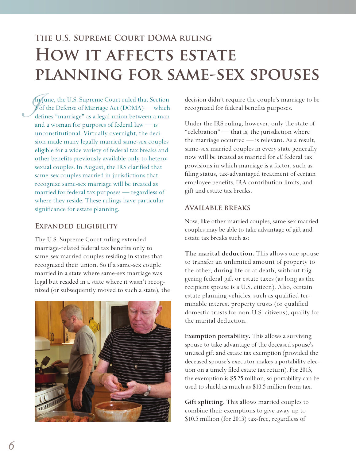## **The U.S. Supreme Court DOMA ruling HOW IT AFFECTS ESTATE planning for same-sex spouses**

*J*<br>*J*<br>*I*<br>*I* In June, the U.S. Supreme Court ruled that Section 3 of the Defense of Marriage Act (DOMA) — which defines "marriage" as a legal union between a man and a woman for purposes of federal law — is unconstitutional. Virtually overnight, the decision made many legally married same-sex couples eligible for a wide variety of federal tax breaks and other benefits previously available only to heterosexual couples. In August, the IRS clarified that same-sex couples married in jurisdictions that recognize same-sex marriage will be treated as married for federal tax purposes — regardless of where they reside. These rulings have particular significance for estate planning.

#### **Expanded eligibility**

The U.S. Supreme Court ruling extended marriage-related federal tax benefits only to same-sex married couples residing in states that recognized their union. So if a same-sex couple married in a state where same-sex marriage was legal but resided in a state where it wasn't recognized (or subsequently moved to such a state), the



decision didn't require the couple's marriage to be recognized for federal benefits purposes.

Under the IRS ruling, however, only the state of "celebration" — that is, the jurisdiction where the marriage occurred — is relevant. As a result, same-sex married couples in every state generally now will be treated as married for *all* federal tax provisions in which marriage is a factor, such as filing status, tax-advantaged treatment of certain employee benefits, IRA contribution limits, and gift and estate tax breaks.

#### **Available breaks**

Now, like other married couples, same-sex married couples may be able to take advantage of gift and estate tax breaks such as:

**The marital deduction.** This allows one spouse to transfer an unlimited amount of property to the other, during life or at death, without triggering federal gift or estate taxes (as long as the recipient spouse is a U.S. citizen). Also, certain estate planning vehicles, such as qualified terminable interest property trusts (or qualified domestic trusts for non-U.S. citizens), qualify for the marital deduction.

**Exemption portability.** This allows a surviving spouse to take advantage of the deceased spouse's unused gift and estate tax exemption (provided the deceased spouse's executor makes a portability election on a timely filed estate tax return). For 2013, the exemption is \$5.25 million, so portability can be used to shield as much as \$10.5 million from tax.

**Gift splitting.** This allows married couples to combine their exemptions to give away up to \$10.5 million (for 2013) tax-free, regardless of